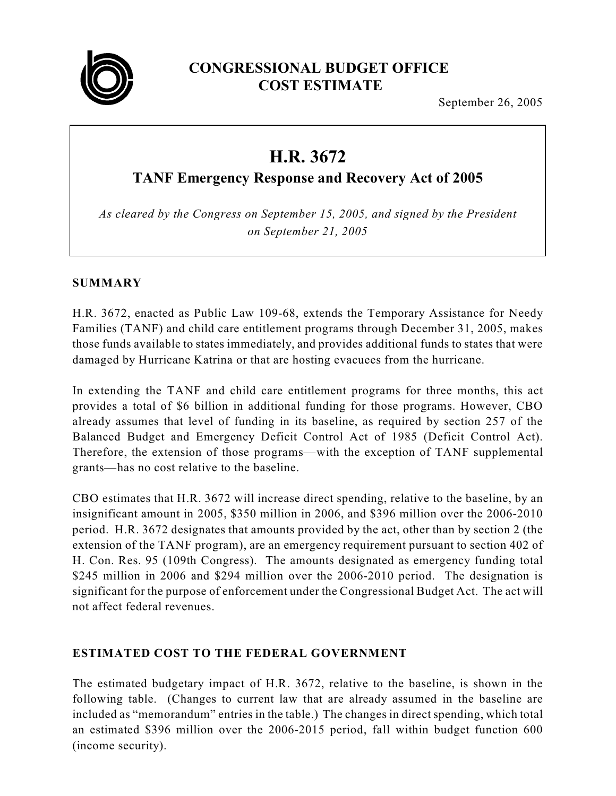

# **CONGRESSIONAL BUDGET OFFICE COST ESTIMATE**

September 26, 2005

# **H.R. 3672**

**TANF Emergency Response and Recovery Act of 2005**

*As cleared by the Congress on September 15, 2005, and signed by the President on September 21, 2005*

## **SUMMARY**

H.R. 3672, enacted as Public Law 109-68, extends the Temporary Assistance for Needy Families (TANF) and child care entitlement programs through December 31, 2005, makes those funds available to states immediately, and provides additional funds to states that were damaged by Hurricane Katrina or that are hosting evacuees from the hurricane.

In extending the TANF and child care entitlement programs for three months, this act provides a total of \$6 billion in additional funding for those programs. However, CBO already assumes that level of funding in its baseline, as required by section 257 of the Balanced Budget and Emergency Deficit Control Act of 1985 (Deficit Control Act). Therefore, the extension of those programs—with the exception of TANF supplemental grants—has no cost relative to the baseline.

CBO estimates that H.R. 3672 will increase direct spending, relative to the baseline, by an insignificant amount in 2005, \$350 million in 2006, and \$396 million over the 2006-2010 period. H.R. 3672 designates that amounts provided by the act, other than by section 2 (the extension of the TANF program), are an emergency requirement pursuant to section 402 of H. Con. Res. 95 (109th Congress). The amounts designated as emergency funding total \$245 million in 2006 and \$294 million over the 2006-2010 period. The designation is significant for the purpose of enforcement under the Congressional Budget Act. The act will not affect federal revenues.

## **ESTIMATED COST TO THE FEDERAL GOVERNMENT**

The estimated budgetary impact of H.R. 3672, relative to the baseline, is shown in the following table. (Changes to current law that are already assumed in the baseline are included as "memorandum" entries in the table.) The changes in direct spending, which total an estimated \$396 million over the 2006-2015 period, fall within budget function 600 (income security).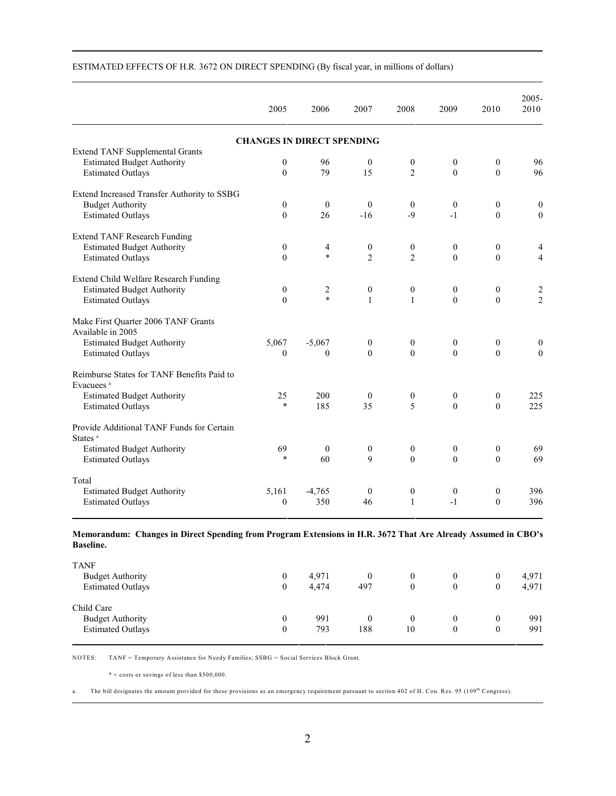|                                                                     | 2005                              | 2006             | 2007             | 2008             | 2009             | 2010             | $2005 -$<br>2010        |
|---------------------------------------------------------------------|-----------------------------------|------------------|------------------|------------------|------------------|------------------|-------------------------|
|                                                                     | <b>CHANGES IN DIRECT SPENDING</b> |                  |                  |                  |                  |                  |                         |
| <b>Extend TANF Supplemental Grants</b>                              |                                   |                  |                  |                  |                  |                  |                         |
| <b>Estimated Budget Authority</b>                                   | $\mathbf{0}$                      | 96               | $\mathbf{0}$     | $\bf{0}$         | $\mathbf{0}$     | $\mathbf{0}$     | 96                      |
| <b>Estimated Outlays</b>                                            | $\theta$                          | 79               | 15               | $\overline{2}$   | $\theta$         | $\mathbf{0}$     | 96                      |
| Extend Increased Transfer Authority to SSBG                         |                                   |                  |                  |                  |                  |                  |                         |
| <b>Budget Authority</b>                                             | $\boldsymbol{0}$                  | $\boldsymbol{0}$ | $\boldsymbol{0}$ | $\mathbf{0}$     | $\boldsymbol{0}$ | $\boldsymbol{0}$ | $\boldsymbol{0}$        |
| <b>Estimated Outlays</b>                                            | $\Omega$                          | 26               | $-16$            | $-9$             | $-1$             | $\theta$         | $\mathbf{0}$            |
| <b>Extend TANF Research Funding</b>                                 |                                   |                  |                  |                  |                  |                  |                         |
| <b>Estimated Budget Authority</b>                                   | $\boldsymbol{0}$                  | 4                | $\boldsymbol{0}$ | $\boldsymbol{0}$ | $\boldsymbol{0}$ | $\boldsymbol{0}$ | 4                       |
| <b>Estimated Outlays</b>                                            | $\theta$                          | $\ast$           | $\overline{2}$   | $\overline{2}$   | $\theta$         | $\theta$         | $\overline{4}$          |
| Extend Child Welfare Research Funding                               |                                   |                  |                  |                  |                  |                  |                         |
| <b>Estimated Budget Authority</b>                                   | $\boldsymbol{0}$                  | 2                | $\boldsymbol{0}$ | $\boldsymbol{0}$ | $\boldsymbol{0}$ | $\boldsymbol{0}$ | $\overline{\mathbf{c}}$ |
| <b>Estimated Outlays</b>                                            | $\Omega$                          | $\ast$           | $\mathbf{1}$     | $\mathbf{1}$     | $\Omega$         | $\theta$         | $\overline{2}$          |
| Make First Quarter 2006 TANF Grants<br>Available in 2005            |                                   |                  |                  |                  |                  |                  |                         |
| <b>Estimated Budget Authority</b>                                   | 5,067                             | $-5,067$         | $\mathbf{0}$     | $\mathbf{0}$     | $\mathbf{0}$     | $\boldsymbol{0}$ | $\boldsymbol{0}$        |
| <b>Estimated Outlays</b>                                            | $\Omega$                          | $\mathbf{0}$     | $\theta$         | $\theta$         | $\theta$         | $\theta$         | $\mathbf{0}$            |
| Reimburse States for TANF Benefits Paid to<br>Evacuees <sup>a</sup> |                                   |                  |                  |                  |                  |                  |                         |
| <b>Estimated Budget Authority</b>                                   | 25                                | 200              | $\mathbf{0}$     | $\boldsymbol{0}$ | $\boldsymbol{0}$ | $\mathbf{0}$     | 225                     |
| <b>Estimated Outlays</b>                                            | $\ast$                            | 185              | 35               | 5                | $\theta$         | $\theta$         | 225                     |
| Provide Additional TANF Funds for Certain<br>States <sup>a</sup>    |                                   |                  |                  |                  |                  |                  |                         |
| <b>Estimated Budget Authority</b>                                   | 69                                | $\mathbf{0}$     | $\mathbf{0}$     | $\mathbf{0}$     | $\boldsymbol{0}$ | $\boldsymbol{0}$ | 69                      |
| <b>Estimated Outlays</b>                                            | $\ast$                            | 60               | 9                | $\theta$         | $\theta$         | $\theta$         | 69                      |
| Total                                                               |                                   |                  |                  |                  |                  |                  |                         |
| <b>Estimated Budget Authority</b>                                   | 5,161                             | $-4,765$         | $\boldsymbol{0}$ | $\boldsymbol{0}$ | $\boldsymbol{0}$ | $\boldsymbol{0}$ | 396                     |
| <b>Estimated Outlays</b>                                            | $\theta$                          | 350              | 46               | $\mathbf{1}$     | $-1$             | $\theta$         | 396                     |
|                                                                     |                                   |                  |                  |                  |                  |                  |                         |

#### ESTIMATED EFFECTS OF H.R. 3672 ON DIRECT SPENDING (By fiscal year, in millions of dollars)

#### **Memorandum: Changes in Direct Spending from Program Extensions in H.R. 3672 That Are Already Assumed in CBO's Baseline.**

| <b>TANF</b><br><b>Budget Authority</b><br><b>Estimated Outlays</b> | 0      | 4,971<br>4,474 | 497 | $\theta$<br>$\mathbf{0}$ | $\theta$<br>$_{0}$ |                    | 4,971<br>4,971 |
|--------------------------------------------------------------------|--------|----------------|-----|--------------------------|--------------------|--------------------|----------------|
| Child Care<br><b>Budget Authority</b><br><b>Estimated Outlays</b>  | 0<br>0 | 991<br>793     | 188 | $\theta$<br>10           | 0<br>$_{0}$        | $_{0}$<br>$\theta$ | 991<br>991     |

NOTES: TANF = Temporary Assistance for Needy Families; SSBG = Social Services Block Grant.

 $* = \text{costs}$  or savings of less than \$500,000.

a. The bill designates the amount provided for these provisions as an emergency requirement pursuant to section 402 of H. Con. Res. 95 (109<sup>th</sup> Congress).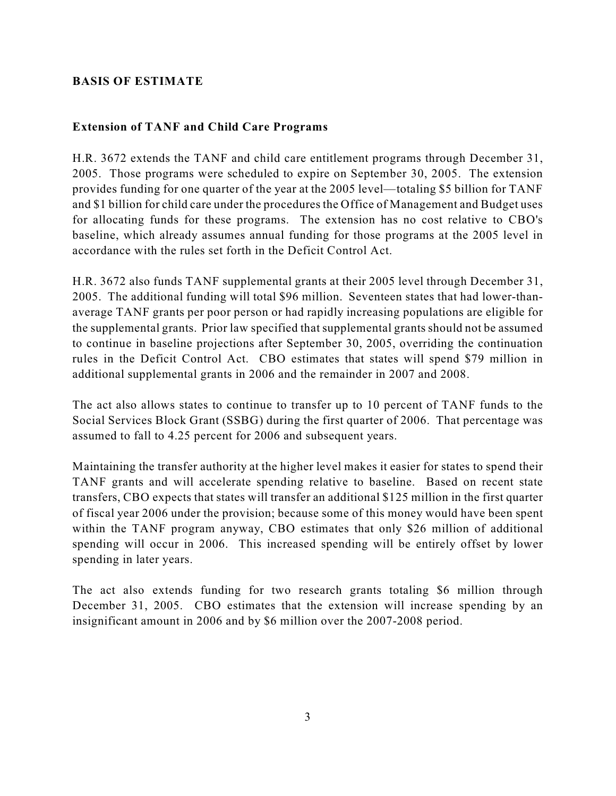## **BASIS OF ESTIMATE**

### **Extension of TANF and Child Care Programs**

H.R. 3672 extends the TANF and child care entitlement programs through December 31, 2005. Those programs were scheduled to expire on September 30, 2005. The extension provides funding for one quarter of the year at the 2005 level—totaling \$5 billion for TANF and \$1 billion for child care under the procedures the Office of Management and Budget uses for allocating funds for these programs. The extension has no cost relative to CBO's baseline, which already assumes annual funding for those programs at the 2005 level in accordance with the rules set forth in the Deficit Control Act.

H.R. 3672 also funds TANF supplemental grants at their 2005 level through December 31, 2005. The additional funding will total \$96 million. Seventeen states that had lower-thanaverage TANF grants per poor person or had rapidly increasing populations are eligible for the supplemental grants. Prior law specified that supplemental grants should not be assumed to continue in baseline projections after September 30, 2005, overriding the continuation rules in the Deficit Control Act. CBO estimates that states will spend \$79 million in additional supplemental grants in 2006 and the remainder in 2007 and 2008.

The act also allows states to continue to transfer up to 10 percent of TANF funds to the Social Services Block Grant (SSBG) during the first quarter of 2006. That percentage was assumed to fall to 4.25 percent for 2006 and subsequent years.

Maintaining the transfer authority at the higher level makes it easier for states to spend their TANF grants and will accelerate spending relative to baseline. Based on recent state transfers, CBO expects that states will transfer an additional \$125 million in the first quarter of fiscal year 2006 under the provision; because some of this money would have been spent within the TANF program anyway, CBO estimates that only \$26 million of additional spending will occur in 2006. This increased spending will be entirely offset by lower spending in later years.

The act also extends funding for two research grants totaling \$6 million through December 31, 2005. CBO estimates that the extension will increase spending by an insignificant amount in 2006 and by \$6 million over the 2007-2008 period.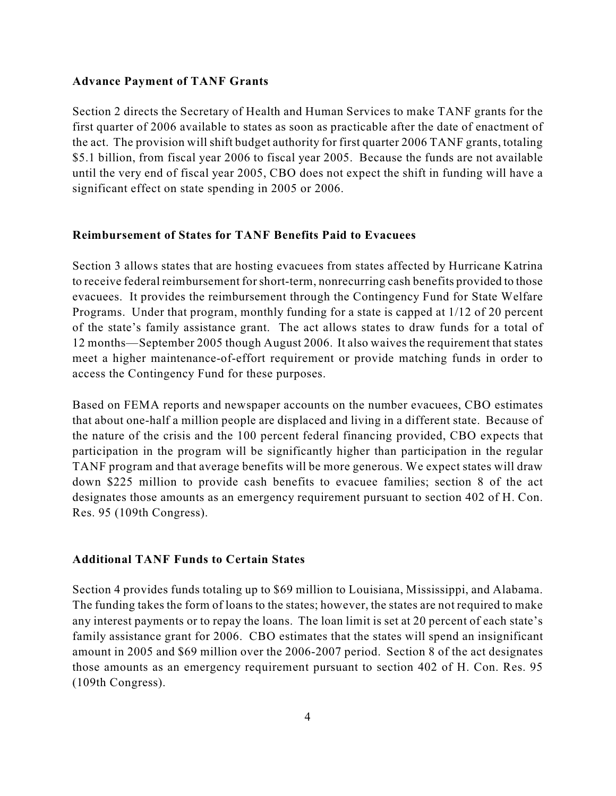#### **Advance Payment of TANF Grants**

Section 2 directs the Secretary of Health and Human Services to make TANF grants for the first quarter of 2006 available to states as soon as practicable after the date of enactment of the act. The provision will shift budget authority for first quarter 2006 TANF grants, totaling \$5.1 billion, from fiscal year 2006 to fiscal year 2005. Because the funds are not available until the very end of fiscal year 2005, CBO does not expect the shift in funding will have a significant effect on state spending in 2005 or 2006.

#### **Reimbursement of States for TANF Benefits Paid to Evacuees**

Section 3 allows states that are hosting evacuees from states affected by Hurricane Katrina to receive federal reimbursement for short-term, nonrecurring cash benefits provided to those evacuees. It provides the reimbursement through the Contingency Fund for State Welfare Programs. Under that program, monthly funding for a state is capped at 1/12 of 20 percent of the state's family assistance grant. The act allows states to draw funds for a total of 12 months—September 2005 though August 2006. It also waives the requirement that states meet a higher maintenance-of-effort requirement or provide matching funds in order to access the Contingency Fund for these purposes.

Based on FEMA reports and newspaper accounts on the number evacuees, CBO estimates that about one-half a million people are displaced and living in a different state. Because of the nature of the crisis and the 100 percent federal financing provided, CBO expects that participation in the program will be significantly higher than participation in the regular TANF program and that average benefits will be more generous. We expect states will draw down \$225 million to provide cash benefits to evacuee families; section 8 of the act designates those amounts as an emergency requirement pursuant to section 402 of H. Con. Res. 95 (109th Congress).

#### **Additional TANF Funds to Certain States**

Section 4 provides funds totaling up to \$69 million to Louisiana, Mississippi, and Alabama. The funding takes the form of loans to the states; however, the states are not required to make any interest payments or to repay the loans. The loan limit is set at 20 percent of each state's family assistance grant for 2006. CBO estimates that the states will spend an insignificant amount in 2005 and \$69 million over the 2006-2007 period. Section 8 of the act designates those amounts as an emergency requirement pursuant to section 402 of H. Con. Res. 95 (109th Congress).